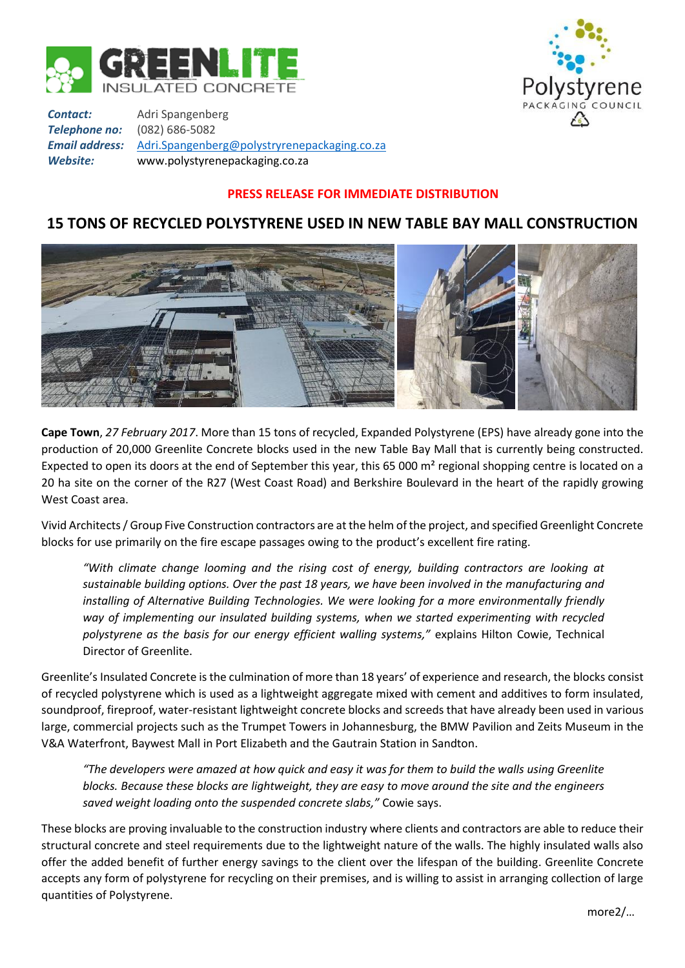



*Contact:* Adri Spangenberg *Telephone no:* (082) 686-5082 *Email address:* [Adri.Spangenberg@polystryrenepackaging.co.za](mailto:Adri.Spangenberg@polystryrenepackaging.co.za) *Website:* www.polystyrenepackaging.co.za

## **PRESS RELEASE FOR IMMEDIATE DISTRIBUTION**

## **15 TONS OF RECYCLED POLYSTYRENE USED IN NEW TABLE BAY MALL CONSTRUCTION**



**Cape Town**, *27 February 2017*. More than 15 tons of recycled, Expanded Polystyrene (EPS) have already gone into the production of 20,000 Greenlite Concrete blocks used in the new Table Bay Mall that is currently being constructed. Expected to open its doors at the end of September this year, this 65 000 m² regional shopping centre is located on a 20 ha site on the corner of the R27 (West Coast Road) and Berkshire Boulevard in the heart of the rapidly growing West Coast area.

Vivid Architects / Group Five Construction contractors are at the helm of the project, and specified Greenlight Concrete blocks for use primarily on the fire escape passages owing to the product's excellent fire rating.

*"With climate change looming and the rising cost of energy, building contractors are looking at sustainable building options. Over the past 18 years, we have been involved in the manufacturing and installing of Alternative Building Technologies. We were looking for a more environmentally friendly way of implementing our insulated building systems, when we started experimenting with recycled polystyrene as the basis for our energy efficient walling systems,"* explains Hilton Cowie, Technical Director of Greenlite.

Greenlite's Insulated Concrete is the culmination of more than 18 years' of experience and research, the blocks consist of recycled polystyrene which is used as a lightweight aggregate mixed with cement and additives to form insulated, soundproof, fireproof, water-resistant lightweight concrete blocks and screeds that have already been used in various large, commercial projects such as the Trumpet Towers in Johannesburg, the BMW Pavilion and Zeits Museum in the V&A Waterfront, Baywest Mall in Port Elizabeth and the Gautrain Station in Sandton.

*"The developers were amazed at how quick and easy it was for them to build the walls using Greenlite blocks. Because these blocks are lightweight, they are easy to move around the site and the engineers saved weight loading onto the suspended concrete slabs,"* Cowie says.

These blocks are proving invaluable to the construction industry where clients and contractors are able to reduce their structural concrete and steel requirements due to the lightweight nature of the walls. The highly insulated walls also offer the added benefit of further energy savings to the client over the lifespan of the building. Greenlite Concrete accepts any form of polystyrene for recycling on their premises, and is willing to assist in arranging collection of large quantities of Polystyrene.